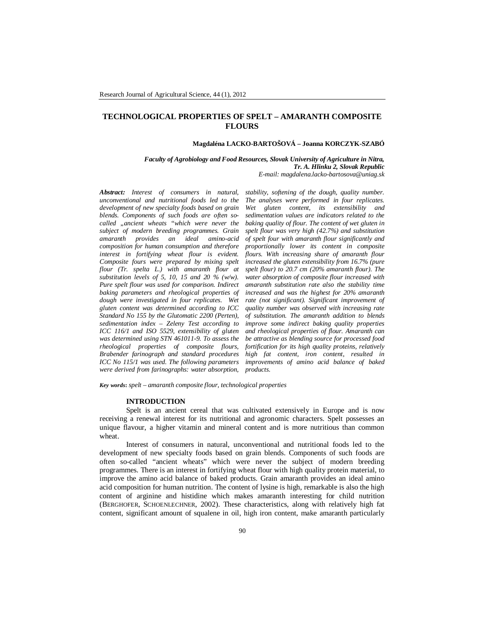# **TECHNOLOGICAL PROPERTIES OF SPELT – AMARANTH COMPOSITE FLOURS**

### **Magdaléna LACKO-BARTOŠOVÁ – Joanna KORCZYK-SZABÓ**

*Faculty of Agrobiology and Food Resources, Slovak University of Agriculture in Nitra, Tr. A. Hlinku 2, Slovak Republic E-mail: magdalena.lacko-bartosova@uniag.sk*

*Abstract: Interest of consumers in natural, unconventional and nutritional foods led to the development of new specialty foods based on grain blends. Components of such foods are often socalled "ancient wheats "which were never the subject of modern breeding programmes. Grain provides an composition for human consumption and therefore interest in fortifying wheat flour is evident. Composite fours were prepared by mixing spelt flour (Tr. spelta L.) with amaranth flour at substitution levels of 5, 10, 15 and 20 % (w/w). Pure spelt flour was used for comparison. Indirect baking parameters and rheological properties of dough were investigated in four replicates. Wet gluten content was determined according to ICC Standard No 155 by the Glutomatic 2200 (Perten), sedimentation index – Zeleny Test according to ICC 116/1 and ISO 5529, extensibility of gluten was determined using STN 461011-9. To assess the rheological properties of composite flours, Brabender farinograph and standard procedures ICC No 115/1 was used. The following parameters were derived from farinographs: water absorption,* 

*stability, softening of the dough, quality number. The analyses were performed in four replicates. Wet gluten content, its extensibility and sedimentation values are indicators related to the baking quality of flour. The content of wet gluten in spelt flour was very high (42.7%) and substitution of spelt four with amaranth flour significantly and proportionally lower its content in composite flours. With increasing share of amaranth flour increased the gluten extensibility from 16.7% (pure spelt flour) to 20.7 cm (20% amaranth flour). The water absorption of composite flour increased with amaranth substitution rate also the stability time increased and was the highest for 20% amaranth rate (not significant). Significant improvement of quality number was observed with increasing rate of substitution. The amaranth addition to blends improve some indirect baking quality properties and rheological properties of flour. Amaranth can be attractive as blending source for processed food fortification for its high quality proteins, relatively high fat content, iron content, resulted in improvements of amino acid balance of baked products.*

*Key words***:** *spelt – amaranth composite flour, technological properties*

### **INTRODUCTION**

Spelt is an ancient cereal that was cultivated extensively in Europe and is now receiving a renewal interest for its nutritional and agronomic characters. Spelt possesses an unique flavour, a higher vitamin and mineral content and is more nutritious than common wheat.

Interest of consumers in natural, unconventional and nutritional foods led to the development of new specialty foods based on grain blends. Components of such foods are often so-called "ancient wheats" which were never the subject of modern breeding programmes. There is an interest in fortifying wheat flour with high quality protein material, to improve the amino acid balance of baked products. Grain amaranth provides an ideal amino acid composition for human nutrition. The content of lysine is high, remarkable is also the high content of arginine and histidine which makes amaranth interesting for child nutrition (BERGHOFER, SCHOENLECHNER, 2002). These characteristics, along with relatively high fat content, significant amount of squalene in oil, high iron content, make amaranth particularly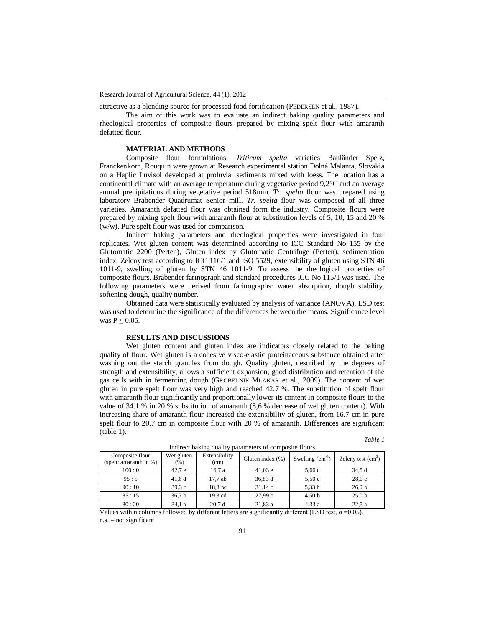attractive as a blending source for processed food fortification (PEDERSEN et al., 1987).

The aim of this work was to evaluate an indirect baking quality parameters and rheological properties of composite flours prepared by mixing spelt flour with amaranth defatted flour.

## **MATERIAL AND METHODS**

Composite flour formulations: *Triticum spelta* varieties Bauländer Spelz, Franckenkorn, Rouquin were grown at Research experimental station Dolná Malanta, Slovakia on a Haplic Luvisol developed at proluvial sediments mixed with loess. The location has a continental climate with an average temperature during vegetative period 9,2°C and an average annual precipitations during vegetative period 518mm. *Tr. spelta* flour was prepared using laboratory Brabender Quadrumat Senior mill. *Tr. spelta* flour was composed of all three varieties. Amaranth defatted flour was obtained form the industry. Composite flours were prepared by mixing spelt flour with amaranth flour at substitution levels of 5, 10, 15 and 20 % (w/w). Pure spelt flour was used for comparison.

Indirect baking parameters and rheological properties were investigated in four replicates. Wet gluten content was determined according to ICC Standard No 155 by the Glutomatic 2200 (Perten), Gluten index by Glutomatic Centrifuge (Perten), sedimentation index Zeleny test according to ICC 116/1 and ISO 5529, extensibility of gluten using STN 46 1011-9, swelling of gluten by STN 46 1011-9. To assess the rheological properties of composite flours, Brabender farinograph and standard procedures ICC No 115/1 was used. The following parameters were derived from farinographs: water absorption, dough stability, softening dough, quality number.

Obtained data were statistically evaluated by analysis of variance (ANOVA), LSD test was used to determine the significance of the differences between the means. Significance level was  $P \leq 0.05$ .

# **RESULTS AND DISCUSSIONS**

Wet gluten content and gluten index are indicators closely related to the baking quality of flour. Wet gluten is a cohesive visco-elastic proteinaceous substance obtained after washing out the starch granules from dough. Quality gluten, described by the degrees of strength and extensibility, allows a sufficient expansion, good distribution and retention of the gas cells with in fermenting dough (GROBELNIK MLAKAR et al., 2009). The content of wet gluten in pure spelt flour was very high and reached 42.7 %. The substitution of spelt flour with amaranth flour significantly and proportionally lower its content in composite flours to the value of 34.1 % in 20 % substitution of amaranth (8,6 % decrease of wet gluten content). With increasing share of amaranth flour increased the extensibility of gluten, from 16.7 cm in pure spelt flour to 20.7 cm in composite flour with 20 % of amaranth. Differences are significant (table 1).

*Table 1*

| Composite flour           | Wet gluten        | $r_{\rm{m}}$ and $r_{\rm{c}}$ and $r_{\rm{c}}$ and $r_{\rm{c}}$<br>Extensibility | <b>Daramotor</b> of composite notic<br>Gluten index $(\% )$ | Swelling $(cm3)$ | Zeleny test $(cm3)$ |
|---------------------------|-------------------|----------------------------------------------------------------------------------|-------------------------------------------------------------|------------------|---------------------|
| (spelt: amaranth in $%$ ) | $(\%)$            | (cm)                                                                             |                                                             |                  |                     |
| 100:0                     | 42.7 <sub>e</sub> | 16,7 a                                                                           | 41.03 e                                                     | 5,66c            | 34.5d               |
| 95:5                      | 41,6d             | 17.7ab                                                                           | 36,83 d                                                     | 5,50c            | 28.0c               |
| 90:10                     | 39.3c             | 18.3 bc                                                                          | 31.14c                                                      | 5,33 b           | 26.0 <sub>b</sub>   |
| 85:15                     | 36,7 b            | 19,3 cd                                                                          | 27.99 <sub>b</sub>                                          | 4,50 b           | 25.0 <sub>b</sub>   |
| 80:20                     | 34,1 a            | 20.7 <sub>d</sub>                                                                | 21.83a                                                      | 4.33a            | 22.5a               |

Indirect baking quality parameters of composite flours

Values within columns followed by different letters are significantly different (LSD test,  $\alpha$  =0.05). n.s. – not significant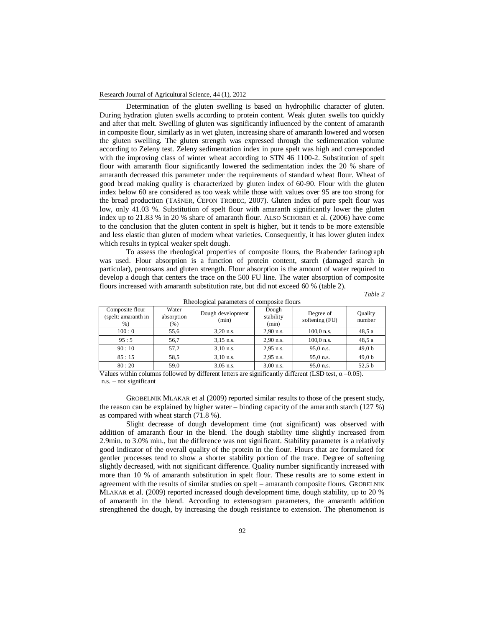#### Research Journal of Agricultural Science, 44 (1), 2012

Determination of the gluten swelling is based on hydrophilic character of gluten. During hydration gluten swells according to protein content. Weak gluten swells too quickly and after that melt. Swelling of gluten was significantly influenced by the content of amaranth in composite flour, similarly as in wet gluten, increasing share of amaranth lowered and worsen the gluten swelling. The gluten strength was expressed through the sedimentation volume according to Zeleny test. Zeleny sedimentation index in pure spelt was high and corresponded with the improving class of winter wheat according to STN 46 1100-2. Substitution of spelt flour with amaranth flour significantly lowered the sedimentation index the 20 % share of amaranth decreased this parameter under the requirements of standard wheat flour. Wheat of good bread making quality is characterized by gluten index of 60-90. Flour with the gluten index below 60 are considered as too weak while those with values over 95 are too strong for the bread production (TAŠNER, ČEPON TROBEC, 2007). Gluten index of pure spelt flour was low, only 41.03 %. Substitution of spelt flour with amaranth significantly lower the gluten index up to 21.83 % in 20 % share of amaranth flour. ALSO SCHOBER et al. (2006) have come to the conclusion that the gluten content in spelt is higher, but it tends to be more extensible and less elastic than gluten of modern wheat varieties. Consequently, it has lower gluten index which results in typical weaker spelt dough.

To assess the rheological properties of composite flours, the Brabender farinograph was used. Flour absorption is a function of protein content, starch (damaged starch in particular), pentosans and gluten strength. Flour absorption is the amount of water required to develop a dough that centers the trace on the 500 FU line. The water absorption of composite flours increased with amaranth substitution rate, but did not exceed 60 % (table 2).

*Table 2*

| Rheological parameters of composite from s      |                                |                            |                             |                             |                   |  |  |  |  |
|-------------------------------------------------|--------------------------------|----------------------------|-----------------------------|-----------------------------|-------------------|--|--|--|--|
| Composite flour<br>(spelt: amaranth in<br>$%$ ) | Water<br>absorption<br>$(\% )$ | Dough development<br>(min) | Dough<br>stability<br>(min) | Degree of<br>softening (FU) | Quality<br>number |  |  |  |  |
| 100:0                                           | 55,6                           | $3,20$ n.s.                | $2,90$ n.s.                 | $100,0$ n.s.                | 48.5a             |  |  |  |  |
| 95:5                                            | 56.7                           | $3,15$ n.s.                | $2,90$ n.s.                 | $100,0$ n.s.                | 48.5 a            |  |  |  |  |
| 90:10                                           | 57.2                           | $3,10$ n.s.                | $2,95$ n.s.                 | 95,0 n.s.                   | 49,0 b            |  |  |  |  |
| 85:15                                           | 58,5                           | $3,10$ n.s.                | $2,95$ n.s.                 | 95,0 n.s.                   | 49.0 <sub>b</sub> |  |  |  |  |
| 80:20                                           | 59,0                           | $3,05$ n.s.                | $3,00$ n.s.                 | 95,0 n.s.                   | 52,5 b            |  |  |  |  |

|  | Rheological parameters of composite flours |  |  |  |  |
|--|--------------------------------------------|--|--|--|--|
|--|--------------------------------------------|--|--|--|--|

Values within columns followed by different letters are significantly different (LSD test,  $\alpha$  =0.05). n.s. – not significant

GROBELNIK MLAKAR et al (2009) reported similar results to those of the present study, the reason can be explained by higher water – binding capacity of the amaranth starch (127 %) as compared with wheat starch (71.8 %).

Slight decrease of dough development time (not significant) was observed with addition of amaranth flour in the blend. The dough stability time slightly increased from 2.9min. to 3.0% min., but the difference was not significant. Stability parameter is a relatively good indicator of the overall quality of the protein in the flour. Flours that are formulated for gentler processes tend to show a shorter stability portion of the trace. Degree of softening slightly decreased, with not significant difference. Quality number significantly increased with more than 10 % of amaranth substitution in spelt flour. These results are to some extent in agreement with the results of similar studies on spelt – amaranth composite flours. GROBELNIK MLAKAR et al. (2009) reported increased dough development time, dough stability, up to 20 % of amaranth in the blend. According to extensogram parameters, the amaranth addition strengthened the dough, by increasing the dough resistance to extension. The phenomenon is